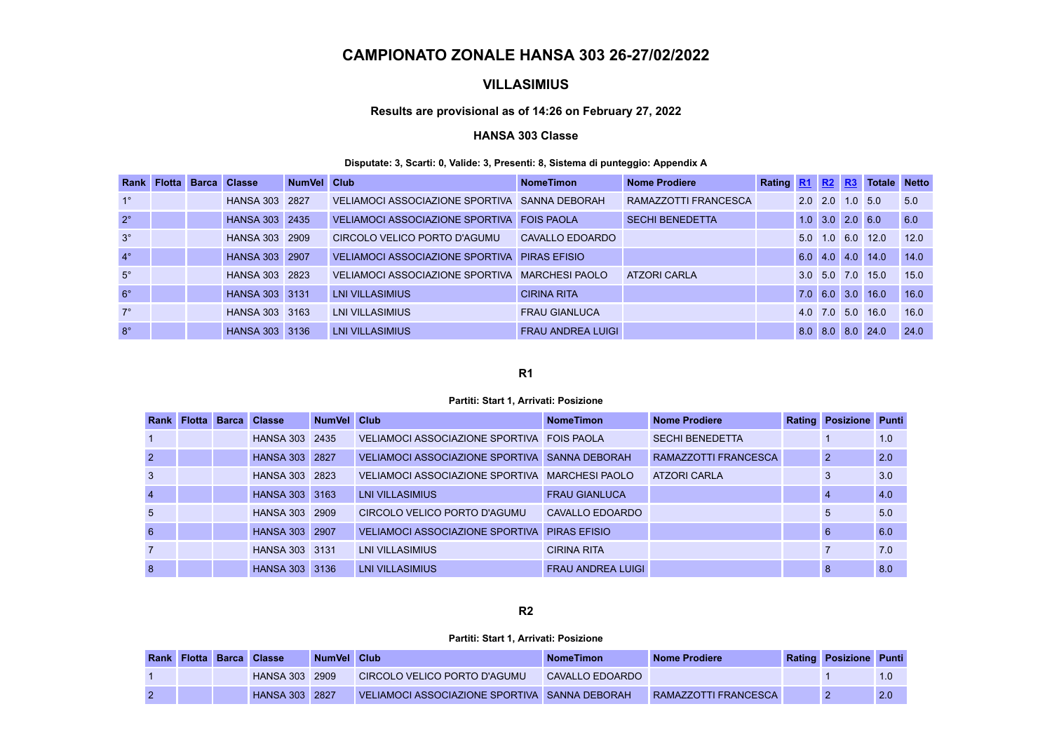# **CAMPIONATO ZONALE HANSA 303 26-27/02/2022**

## **VILLASIMIUS**

### **Results are provisional as of 14:26 on February 27, 2022**

### **HANSA 303 Classe**

### **Disputate: 3, Scarti: 0, Valide: 3, Presenti: 8, Sistema di punteggio: Appendix A**

| Rank        | <b>Flotta</b> | <b>Barca Classe</b>   | NumVel Club |                                                | <b>NomeTimon</b>         | <b>Nome Prodiere</b>   | Rating R1 R2 R3 |     |                       |     | <b>Totale</b>    | <b>Netto</b> |
|-------------|---------------|-----------------------|-------------|------------------------------------------------|--------------------------|------------------------|-----------------|-----|-----------------------|-----|------------------|--------------|
| $1^{\circ}$ |               | HANSA 303             | 2827        | VELIAMOCI ASSOCIAZIONE SPORTIVA SANNA DEBORAH  |                          | RAMAZZOTTI FRANCESCA   |                 |     | $2.0 \, \text{ } 2.0$ | 1.0 | 5.0              | 5.0          |
| $2^{\circ}$ |               | <b>HANSA 303 2435</b> |             | VELIAMOCI ASSOCIAZIONE SPORTIVA FOIS PAOLA     |                          | <b>SECHI BENEDETTA</b> |                 |     | $1.0$ $3.0$ $2.0$ 6.0 |     |                  | 6.0          |
| $3^\circ$   |               | HANSA 303 2909        |             | CIRCOLO VELICO PORTO D'AGUMU                   | CAVALLO EDOARDO          |                        |                 | 5.0 | $1.0 \t6.0$           |     | 12.0             | 12.0         |
| $4^\circ$   |               | HANSA 303 2907        |             | VELIAMOCI ASSOCIAZIONE SPORTIVA PIRAS EFISIO   |                          |                        |                 |     |                       |     | 6.0 4.0 4.0 14.0 | 14.0         |
| $5^\circ$   |               | HANSA 303 2823        |             | VELIAMOCI ASSOCIAZIONE SPORTIVA MARCHESI PAOLO |                          | <b>ATZORI CARLA</b>    |                 |     |                       |     | 3.0 5.0 7.0 15.0 | 15.0         |
| $6^{\circ}$ |               | HANSA 303 3131        |             | <b>LNI VILLASIMIUS</b>                         | <b>CIRINA RITA</b>       |                        |                 |     | 7.0 6.0 3.0           |     | 16.0             | 16.0         |
| $7^\circ$   |               | HANSA 303 3163        |             | LNI VILLASIMIUS                                | <b>FRAU GIANLUCA</b>     |                        |                 |     | 4.0 7.0 5.0           |     | 16.0             | 16.0         |
| $8^\circ$   |               | HANSA 303 3136        |             | <b>LNI VILLASIMIUS</b>                         | <b>FRAU ANDREA LUIGI</b> |                        |                 |     | $8.0$ $8.0$           | 8.0 | 24.0             | 24.0         |

### **R1**

#### **Partiti: Start 1, Arrivati: Posizione**

| Rank            | <b>Flotta</b> | <b>Barca</b> | <b>Classe</b>  | NumVel Club |                                                | <b>NomeTimon</b>         | <b>Nome Prodiere</b>        | <b>Rating</b> | <b>Posizione Punti</b> |     |
|-----------------|---------------|--------------|----------------|-------------|------------------------------------------------|--------------------------|-----------------------------|---------------|------------------------|-----|
| $\mathbf{1}$    |               |              | HANSA 303 2435 |             | VELIAMOCI ASSOCIAZIONE SPORTIVA FOIS PAOLA     |                          | <b>SECHI BENEDETTA</b>      |               |                        | 1.0 |
| $\overline{2}$  |               |              | HANSA 303 2827 |             | VELIAMOCI ASSOCIAZIONE SPORTIVA SANNA DEBORAH  |                          | <b>RAMAZZOTTI FRANCESCA</b> |               | 2                      | 2.0 |
| 3               |               |              | HANSA 303 2823 |             | VELIAMOCI ASSOCIAZIONE SPORTIVA MARCHESI PAOLO |                          | <b>ATZORI CARLA</b>         |               | 3                      | 3.0 |
| $\overline{4}$  |               |              | HANSA 303 3163 |             | <b>LNI VILLASIMIUS</b>                         | <b>FRAU GIANLUCA</b>     |                             |               | -4                     | 4.0 |
| $5\overline{)}$ |               |              | HANSA 303      | 2909        | CIRCOLO VELICO PORTO D'AGUMU                   | CAVALLO EDOARDO          |                             |               | 5                      | 5.0 |
| $6\phantom{1}$  |               |              | HANSA 303 2907 |             | VELIAMOCI ASSOCIAZIONE SPORTIVA PIRAS EFISIO   |                          |                             |               | 6                      | 6.0 |
| 7               |               |              | HANSA 303 3131 |             | <b>LNI VILLASIMIUS</b>                         | <b>CIRINA RITA</b>       |                             |               |                        | 7.0 |
| 8               |               |              | HANSA 303 3136 |             | <b>LNI VILLASIMIUS</b>                         | <b>FRAU ANDREA LUIGI</b> |                             |               | 8                      | 8.0 |

### **R2**

#### **Partiti: Start 1, Arrivati: Posizione**

|  | <b>Rank Flotta Barca Classe</b> | NumVel Club |                                               | <b>NomeTimon</b> | Nome Prodiere        | Rating Posizione Punti |     |
|--|---------------------------------|-------------|-----------------------------------------------|------------------|----------------------|------------------------|-----|
|  | HANSA 303 2909                  |             | CIRCOLO VELICO PORTO D'AGUMU                  | CAVALLO EDOARDO  |                      |                        |     |
|  | <b>HANSA 303 2827</b>           |             | VELIAMOCI ASSOCIAZIONE SPORTIVA SANNA DEBORAH |                  | RAMAZZOTTI FRANCESCA |                        | 2.0 |